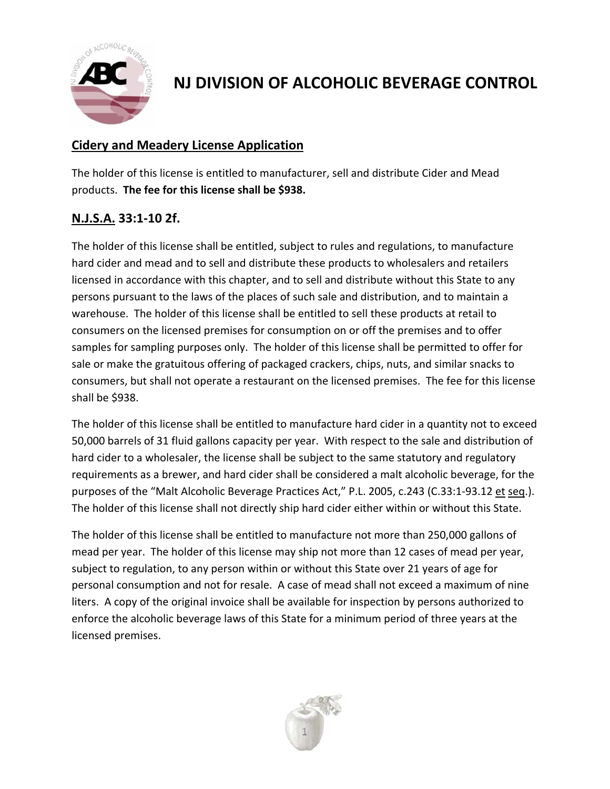

**NJ DIVISION OF ALCOHOLIC BEVERAGE CONTROL**

(Pub. 8/31/2017 Ver.1)

## **Cidery and Meadery License Application**

The holder of this license is entitled to manufacturer, sell and distribute Cider and Mead products. **The fee for this license shall be \$938.**

## **N.J.S.A. 33:1‐10 2f.**

The holder of this license shall be entitled, subject to rules and regulations, to manufacture hard cider and mead and to sell and distribute these products to wholesalers and retailers licensed in accordance with this chapter, and to sell and distribute without this State to any persons pursuant to the laws of the places of such sale and distribution, and to maintain a warehouse. The holder of this license shall be entitled to sell these products at retail to consumers on the licensed premises for consumption on or off the premises and to offer samples for sampling purposes only. The holder of this license shall be permitted to offer for sale or make the gratuitous offering of packaged crackers, chips, nuts, and similar snacks to consumers, but shall not operate a restaurant on the licensed premises. The fee for this license shall be \$938.

The holder of this license shall be entitled to manufacture hard cider in a quantity not to exceed 50,000 barrels of 31 fluid gallons capacity per year. With respect to the sale and distribution of hard cider to a wholesaler, the license shall be subject to the same statutory and regulatory requirements as a brewer, and hard cider shall be considered a malt alcoholic beverage, for the purposes of the "Malt Alcoholic Beverage Practices Act," P.L. 2005, c.243 (C.33:1-93.12 et seq.). The holder of this license shall not directly ship hard cider either within or without this State.

The holder of this license shall be entitled to manufacture not more than 250,000 gallons of mead per year. The holder of this license may ship not more than 12 cases of mead per year, subject to regulation, to any person within or without this State over 21 years of age for personal consumption and not for resale. A case of mead shall not exceed a maximum of nine liters. A copy of the original invoice shall be available for inspection by persons authorized to enforce the alcoholic beverage laws of this State for a minimum period of three years at the licensed premises.

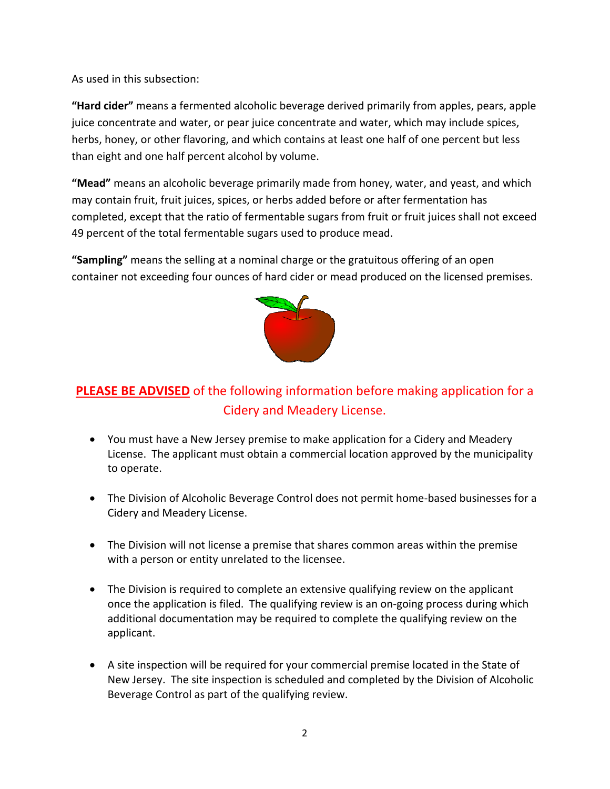As used in this subsection:

**"Hard cider"** means a fermented alcoholic beverage derived primarily from apples, pears, apple juice concentrate and water, or pear juice concentrate and water, which may include spices, herbs, honey, or other flavoring, and which contains at least one half of one percent but less than eight and one half percent alcohol by volume.

**"Mead"** means an alcoholic beverage primarily made from honey, water, and yeast, and which may contain fruit, fruit juices, spices, or herbs added before or after fermentation has completed, except that the ratio of fermentable sugars from fruit or fruit juices shall not exceed 49 percent of the total fermentable sugars used to produce mead.

**"Sampling"** means the selling at a nominal charge or the gratuitous offering of an open container not exceeding four ounces of hard cider or mead produced on the licensed premises.



# **PLEASE BE ADVISED** of the following information before making application for a Cidery and Meadery License.

- You must have a New Jersey premise to make application for a Cidery and Meadery License. The applicant must obtain a commercial location approved by the municipality to operate.
- The Division of Alcoholic Beverage Control does not permit home-based businesses for a Cidery and Meadery License.
- The Division will not license a premise that shares common areas within the premise with a person or entity unrelated to the licensee.
- The Division is required to complete an extensive qualifying review on the applicant once the application is filed. The qualifying review is an on‐going process during which additional documentation may be required to complete the qualifying review on the applicant.
- A site inspection will be required for your commercial premise located in the State of New Jersey. The site inspection is scheduled and completed by the Division of Alcoholic Beverage Control as part of the qualifying review.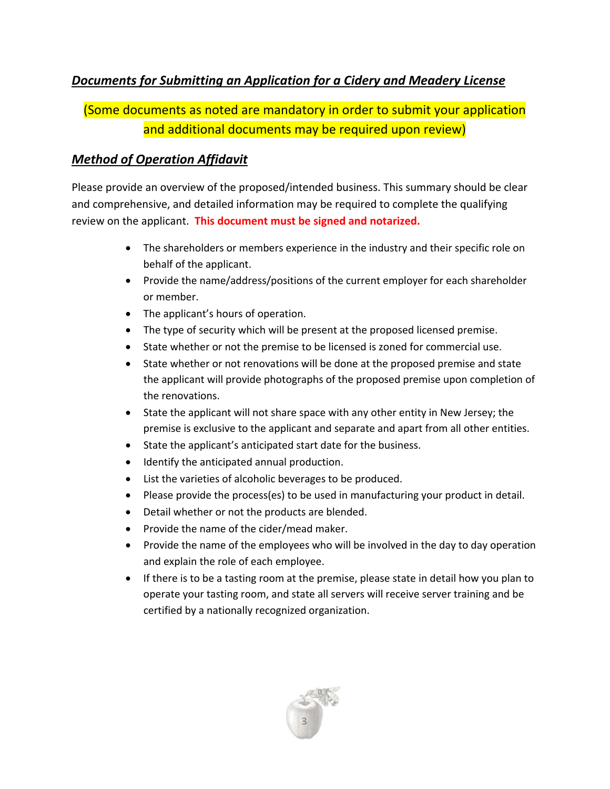## *Documents for Submitting an Application for a Cidery and Meadery License*

(Some documents as noted are mandatory in order to submit your application and additional documents may be required upon review)

## *Method of Operation Affidavit*

Please provide an overview of the proposed/intended business. This summary should be clear and comprehensive, and detailed information may be required to complete the qualifying review on the applicant. **This document must be signed and notarized.**

- The shareholders or members experience in the industry and their specific role on behalf of the applicant.
- Provide the name/address/positions of the current employer for each shareholder or member.
- The applicant's hours of operation.
- The type of security which will be present at the proposed licensed premise.
- State whether or not the premise to be licensed is zoned for commercial use.
- State whether or not renovations will be done at the proposed premise and state the applicant will provide photographs of the proposed premise upon completion of the renovations.
- State the applicant will not share space with any other entity in New Jersey; the premise is exclusive to the applicant and separate and apart from all other entities.
- State the applicant's anticipated start date for the business.
- Identify the anticipated annual production.
- List the varieties of alcoholic beverages to be produced.
- Please provide the process(es) to be used in manufacturing your product in detail.
- Detail whether or not the products are blended.
- Provide the name of the cider/mead maker.
- Provide the name of the employees who will be involved in the day to day operation and explain the role of each employee.
- If there is to be a tasting room at the premise, please state in detail how you plan to operate your tasting room, and state all servers will receive server training and be certified by a nationally recognized organization.

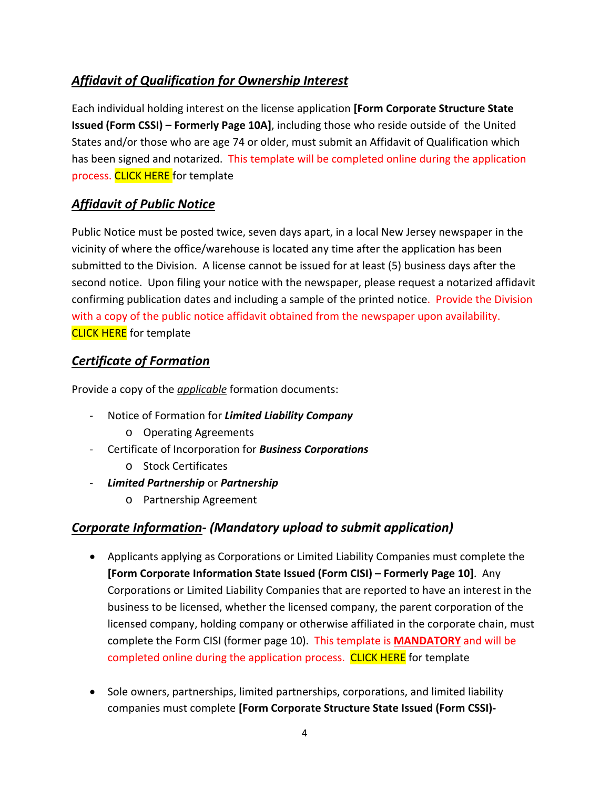## *Affidavit of Qualification for Ownership Interest*

Each individual holding interest on the license application **[Form Corporate Structure State Issued (Form CSSI) – Formerly Page 10A]**, including those who reside outside of the United States and/or those who are age 74 or older, must submit an Affidavit of Qualification which has been signed and notarized. This template will be completed online during the application process. [CLICK](http://www.nj.gov/oag/abc/downloads/Affidavit-of-Qualification-Template.pdf) HERE for template

## *Affidavit of Public Notice*

Public Notice must be posted twice, seven days apart, in a local New Jersey newspaper in the vicinity of where the office/warehouse is located any time after the application has been submitted to the Division. A license cannot be issued for at least (5) business days after the second notice. Upon filing your notice with the newspaper, please request a notarized affidavit confirming publication dates and including a sample of the printed notice. Provide the Division with a copy of the public notice affidavit obtained from the newspaper upon availability. **[CLICK](http://www.nj.gov/oag/abc/downloads/Public-Notice-Template.pdf) HERE** for template

## *Certificate of Formation*

Provide a copy of the *applicable* formation documents:

- ‐ Notice of Formation for *Limited Liability Company*
	- o Operating Agreements
- ‐ Certificate of Incorporation for *Business Corporations*
	- o Stock Certificates
- ‐ *Limited Partnership* or *Partnership*
	- o Partnership Agreement

## *Corporate Information‐ (Mandatory upload to submit application)*

- Applicants applying as Corporations or Limited Liability Companies must complete the **[Form Corporate Information State Issued (Form CISI) – Formerly Page 10]**. Any Corporations or Limited Liability Companies that are reported to have an interest in the business to be licensed, whether the licensed company, the parent corporation of the licensed company, holding company or otherwise affiliated in the corporate chain, must complete the Form CISI (former page 10). This template is **MANDATORY** and will be completed online during the application process. [CLICK](http://www.nj.gov/oag/abc/downloads/Corporate-Information-State-Issued_Form%20CISI_former-page-10.pdf) HERE for template
- Sole owners, partnerships, limited partnerships, corporations, and limited liability companies must complete **[Form Corporate Structure State Issued (Form CSSI)‐**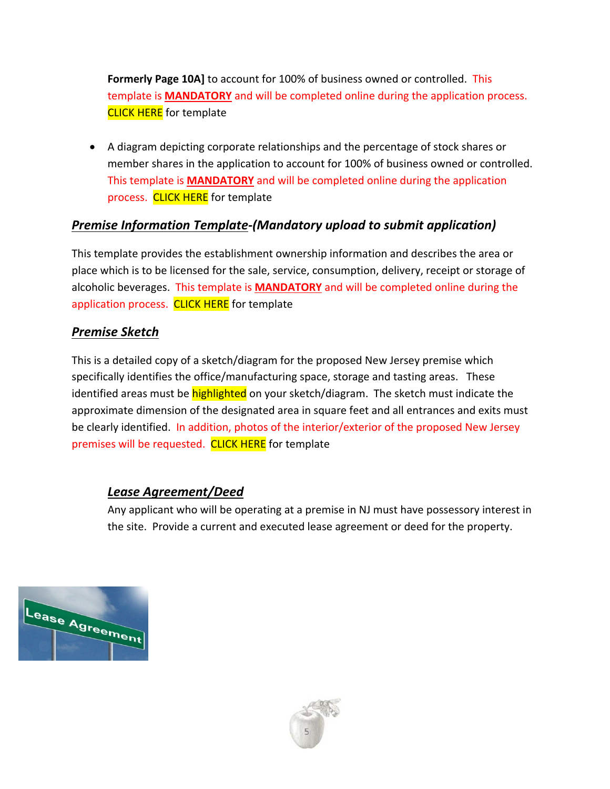**Formerly Page 10A]** to account for 100% of business owned or controlled. This template is **MANDATORY** and will be completed online during the application process. **[CLICK](http://www.nj.gov/oag/abc/downloads/Corporate-Structure-State-Issued_Form%20CSSI_former-page-10%20a.pdf) HERE** for template

 A diagram depicting corporate relationships and the percentage of stock shares or member shares in the application to account for 100% of business owned or controlled. This template is **MANDATORY** and will be completed online during the application process. [CLICK](http://www.nj.gov/oag/abc/downloads/Corporate-Diagram.pdf) HERE for template

## *Premise Information Template‐(Mandatory upload to submit application)*

This template provides the establishment ownership information and describes the area or place which is to be licensed for the sale, service, consumption, delivery, receipt or storage of alcoholic beverages. This template is **MANDATORY** and will be completed online during the application process. [CLICK](http://www.nj.gov/oag/abc/downloads/Premise-Informaiton-Template.pdf) HERE for template

## *Premise Sketch*

This is a detailed copy of a sketch/diagram for the proposed New Jersey premise which specifically identifies the office/manufacturing space, storage and tasting areas. These identified areas must be *highlighted* on your sketch/diagram. The sketch must indicate the approximate dimension of the designated area in square feet and all entrances and exits must be clearly identified. In addition, photos of the interior/exterior of the proposed New Jersey premises will be requested. [CLICK](http://www.nj.gov/oag/abc/downloads/Site-Plan-for-State-Issued.pdf) HERE for template

## *Lease Agreement/Deed*

Any applicant who will be operating at a premise in NJ must have possessory interest in the site. Provide a current and executed lease agreement or deed for the property.



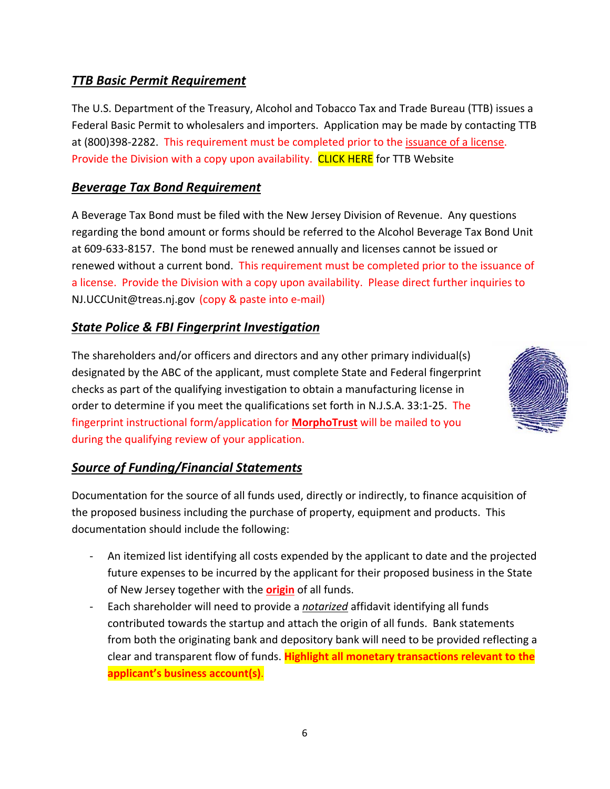## *TTB Basic Permit Requirement*

The U.S. Department of the Treasury, Alcohol and Tobacco Tax and Trade Bureau (TTB) issues a Federal Basic Permit to wholesalers and importers. Application may be made by contacting TTB at (800)398-2282. This requirement must be completed prior to the issuance of a license. Provide the Division with a copy upon availability. [CLICK](https://www.ttb.gov/) HERE for TTB Website

## *Beverage Tax Bond Requirement*

A Beverage Tax Bond must be filed with the New Jersey Division of Revenue. Any questions regarding the bond amount or forms should be referred to the Alcohol Beverage Tax Bond Unit at 609‐633‐8157. The bond must be renewed annually and licenses cannot be issued or renewed without a current bond. This requirement must be completed prior to the issuance of a license. Provide the Division with a copy upon availability. Please direct further inquiries to NJ.UCCUnit@treas.nj.gov (copy & paste into e‐mail)

## *State Police & FBI Fingerprint Investigation*

The shareholders and/or officers and directors and any other primary individual(s) designated by the ABC of the applicant, must complete State and Federal fingerprint checks as part of the qualifying investigation to obtain a manufacturing license in order to determine if you meet the qualifications set forth in N.J.S.A. 33:1‐25. The fingerprint instructional form/application for **MorphoTrust** will be mailed to you during the qualifying review of your application.



## *Source of Funding/Financial Statements*

Documentation for the source of all funds used, directly or indirectly, to finance acquisition of the proposed business including the purchase of property, equipment and products. This documentation should include the following:

- ‐ An itemized list identifying all costs expended by the applicant to date and the projected future expenses to be incurred by the applicant for their proposed business in the State of New Jersey together with the **origin** of all funds.
- ‐ Each shareholder will need to provide a *notarized* affidavit identifying all funds contributed towards the startup and attach the origin of all funds. Bank statements from both the originating bank and depository bank will need to be provided reflecting a clear and transparent flow of funds. **Highlight all monetary transactions relevant to the applicant's business account(s)**.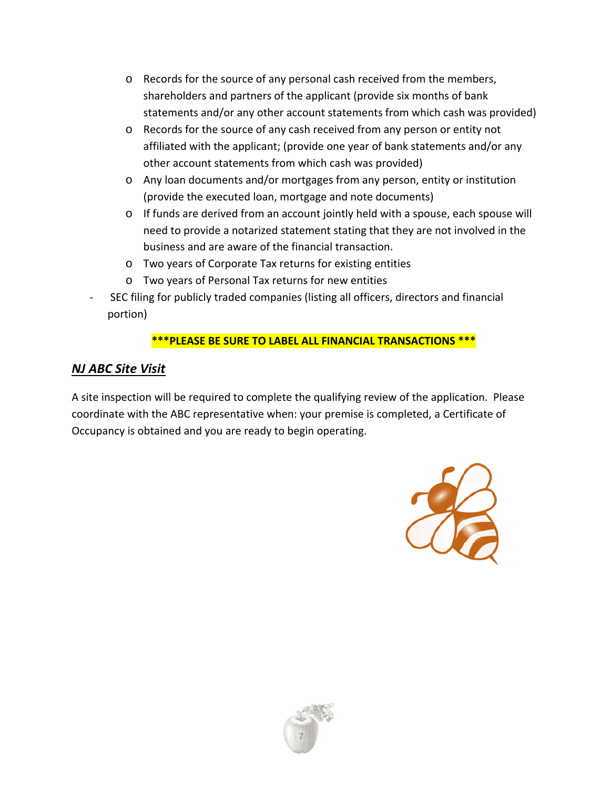- o Records for the source of any personal cash received from the members, shareholders and partners of the applicant (provide six months of bank statements and/or any other account statements from which cash was provided)
- o Records for the source of any cash received from any person or entity not affiliated with the applicant; (provide one year of bank statements and/or any other account statements from which cash was provided)
- o Any loan documents and/or mortgages from any person, entity or institution (provide the executed loan, mortgage and note documents)
- o If funds are derived from an account jointly held with a spouse, each spouse will need to provide a notarized statement stating that they are not involved in the business and are aware of the financial transaction.
- o Two years of Corporate Tax returns for existing entities
- o Two years of Personal Tax returns for new entities
- ‐ SEC filing for publicly traded companies (listing all officers, directors and financial portion)

## **\*\*\*PLEASE BE SURE TO LABEL ALL FINANCIAL TRANSACTIONS \*\*\***

## *NJ ABC Site Visit*

A site inspection will be required to complete the qualifying review of the application. Please coordinate with the ABC representative when: your premise is completed, a Certificate of Occupancy is obtained and you are ready to begin operating.



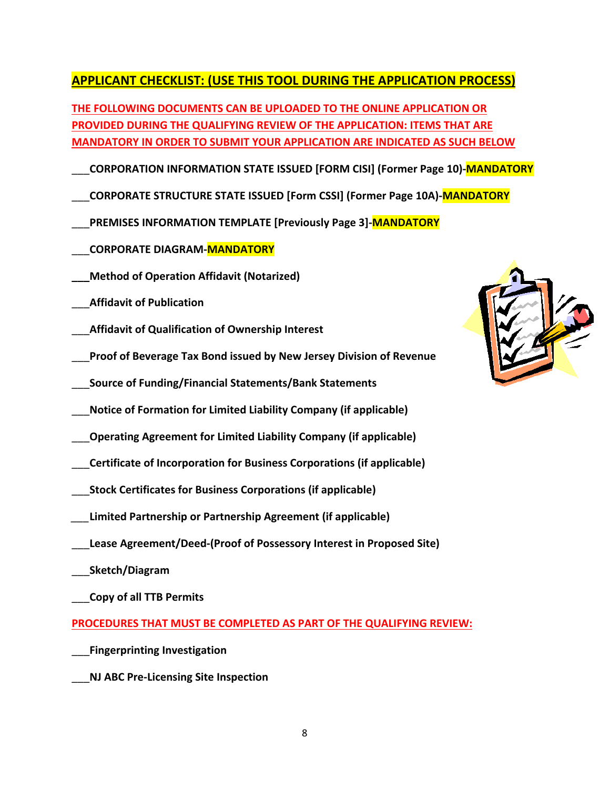## **APPLICANT CHECKLIST: (USE THIS TOOL DURING THE APPLICATION PROCESS)**

**THE FOLLOWING DOCUMENTS CAN BE UPLOADED TO THE ONLINE APPLICATION OR PROVIDED DURING THE QUALIFYING REVIEW OF THE APPLICATION: ITEMS THAT ARE MANDATORY IN ORDER TO SUBMIT YOUR APPLICATION ARE INDICATED AS SUCH BELOW**

- \_\_\_**CORPORATION INFORMATION STATE ISSUED [FORM CISI] (Former Page 10)‐MANDATORY**
- \_\_\_**CORPORATE STRUCTURE STATE ISSUED [Form CSSI] (Former Page 10A)‐MANDATORY**
- \_\_\_**PREMISES INFORMATION TEMPLATE [Previously Page 3]‐MANDATORY**
- \_\_\_**CORPORATE DIAGRAM‐MANDATORY**
- **\_\_\_Method of Operation Affidavit (Notarized)**
- \_\_\_**Affidavit of Publication**
- \_\_\_**Affidavit of Qualification of Ownership Interest**
- \_\_\_**Proof of Beverage Tax Bond issued by New Jersey Division of Revenue**
- \_\_\_**Source of Funding/Financial Statements/Bank Statements**
- \_\_\_**Notice of Formation for Limited Liability Company (if applicable)**
- \_\_\_**Operating Agreement for Limited Liability Company (if applicable)**
- \_\_\_**Certificate of Incorporation for Business Corporations (if applicable)**
- \_\_\_**Stock Certificates for Business Corporations (if applicable)**
- *\_\_\_***Limited Partnership or Partnership Agreement (if applicable)**
- \_\_\_**Lease Agreement/Deed‐(Proof of Possessory Interest in Proposed Site)** 
	- \_\_\_**Sketch/Diagram**
- \_\_\_**Copy of all TTB Permits**

**PROCEDURES THAT MUST BE COMPLETED AS PART OF THE QUALIFYING REVIEW:**

- \_\_\_**Fingerprinting Investigation**
- \_\_\_**NJ ABC Pre‐Licensing Site Inspection**

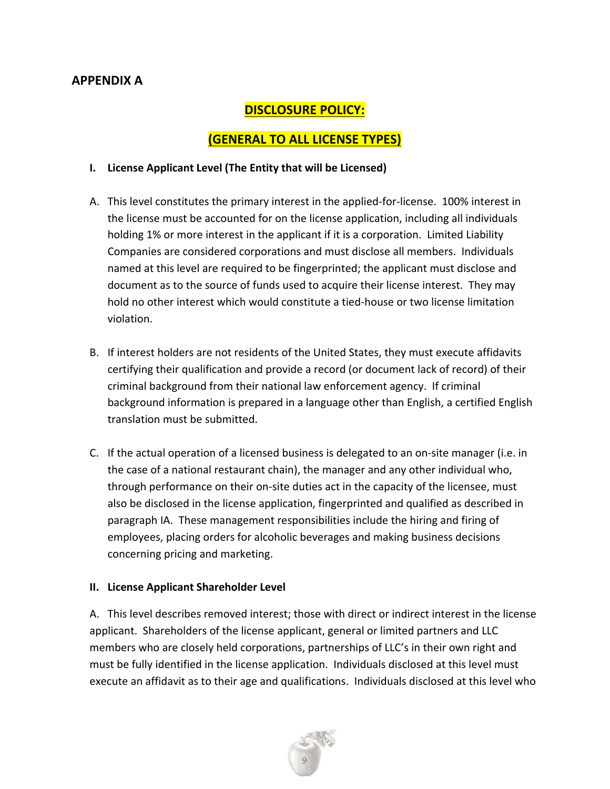## **APPENDIX A**

## **DISCLOSURE POLICY:**

### **(GENERAL TO ALL LICENSE TYPES)**

#### **I. License Applicant Level (The Entity that will be Licensed)**

- A. This level constitutes the primary interest in the applied‐for‐license. 100% interest in the license must be accounted for on the license application, including all individuals holding 1% or more interest in the applicant if it is a corporation. Limited Liability Companies are considered corporations and must disclose all members. Individuals named at this level are required to be fingerprinted; the applicant must disclose and document as to the source of funds used to acquire their license interest. They may hold no other interest which would constitute a tied‐house or two license limitation violation.
- B. If interest holders are not residents of the United States, they must execute affidavits certifying their qualification and provide a record (or document lack of record) of their criminal background from their national law enforcement agency. If criminal background information is prepared in a language other than English, a certified English translation must be submitted.
- C. If the actual operation of a licensed business is delegated to an on‐site manager (i.e. in the case of a national restaurant chain), the manager and any other individual who, through performance on their on‐site duties act in the capacity of the licensee, must also be disclosed in the license application, fingerprinted and qualified as described in paragraph IA. These management responsibilities include the hiring and firing of employees, placing orders for alcoholic beverages and making business decisions concerning pricing and marketing.

#### **II. License Applicant Shareholder Level**

A. This level describes removed interest; those with direct or indirect interest in the license applicant. Shareholders of the license applicant, general or limited partners and LLC members who are closely held corporations, partnerships of LLC's in their own right and must be fully identified in the license application. Individuals disclosed at this level must execute an affidavit as to their age and qualifications. Individuals disclosed at this level who

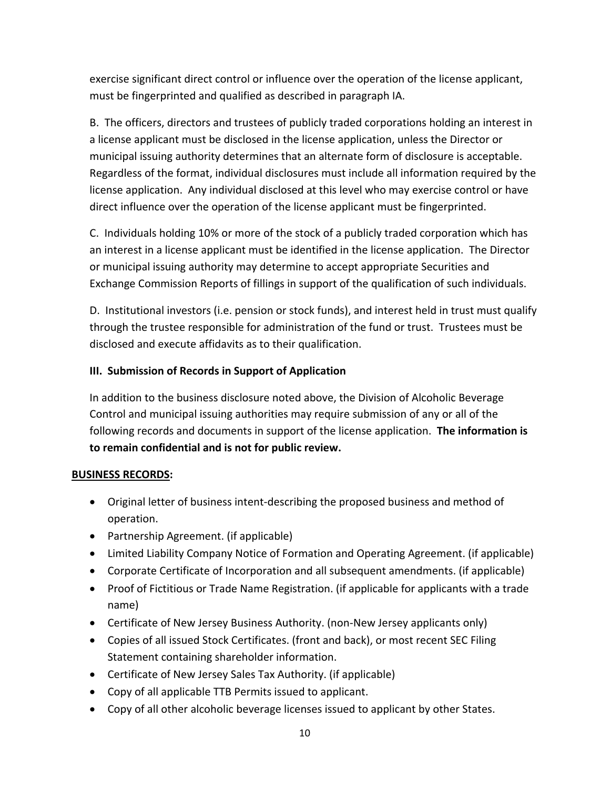exercise significant direct control or influence over the operation of the license applicant, must be fingerprinted and qualified as described in paragraph IA.

B. The officers, directors and trustees of publicly traded corporations holding an interest in a license applicant must be disclosed in the license application, unless the Director or municipal issuing authority determines that an alternate form of disclosure is acceptable. Regardless of the format, individual disclosures must include all information required by the license application. Any individual disclosed at this level who may exercise control or have direct influence over the operation of the license applicant must be fingerprinted.

C. Individuals holding 10% or more of the stock of a publicly traded corporation which has an interest in a license applicant must be identified in the license application. The Director or municipal issuing authority may determine to accept appropriate Securities and Exchange Commission Reports of fillings in support of the qualification of such individuals.

D. Institutional investors (i.e. pension or stock funds), and interest held in trust must qualify through the trustee responsible for administration of the fund or trust. Trustees must be disclosed and execute affidavits as to their qualification.

#### **III. Submission of Records in Support of Application**

In addition to the business disclosure noted above, the Division of Alcoholic Beverage Control and municipal issuing authorities may require submission of any or all of the following records and documents in support of the license application. **The information is to remain confidential and is not for public review.**

#### **BUSINESS RECORDS:**

- Original letter of business intent‐describing the proposed business and method of operation.
- Partnership Agreement. (if applicable)
- Limited Liability Company Notice of Formation and Operating Agreement. (if applicable)
- Corporate Certificate of Incorporation and all subsequent amendments. (if applicable)
- Proof of Fictitious or Trade Name Registration. (if applicable for applicants with a trade name)
- Certificate of New Jersey Business Authority. (non-New Jersey applicants only)
- Copies of all issued Stock Certificates. (front and back), or most recent SEC Filing Statement containing shareholder information.
- Certificate of New Jersey Sales Tax Authority. (if applicable)
- Copy of all applicable TTB Permits issued to applicant.
- Copy of all other alcoholic beverage licenses issued to applicant by other States.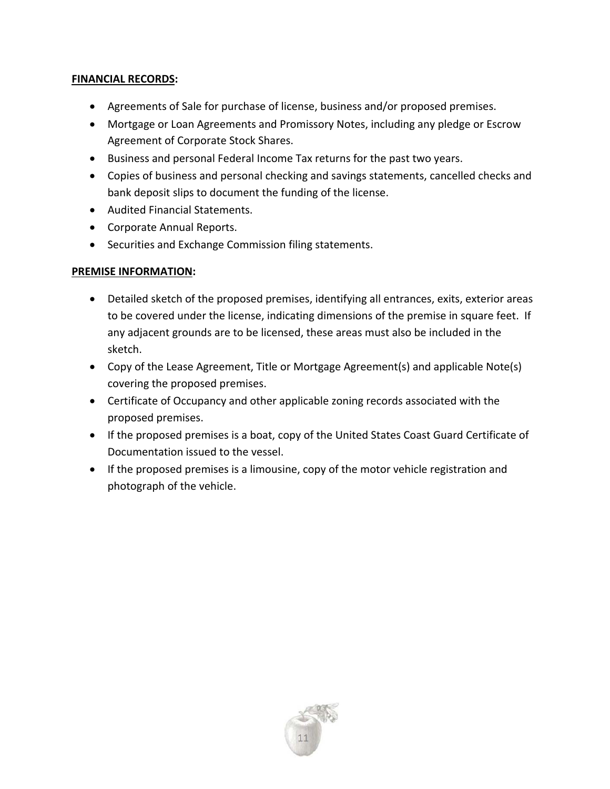#### **FINANCIAL RECORDS:**

- Agreements of Sale for purchase of license, business and/or proposed premises.
- Mortgage or Loan Agreements and Promissory Notes, including any pledge or Escrow Agreement of Corporate Stock Shares.
- Business and personal Federal Income Tax returns for the past two years.
- Copies of business and personal checking and savings statements, cancelled checks and bank deposit slips to document the funding of the license.
- Audited Financial Statements.
- Corporate Annual Reports.
- Securities and Exchange Commission filing statements.

#### **PREMISE INFORMATION:**

- Detailed sketch of the proposed premises, identifying all entrances, exits, exterior areas to be covered under the license, indicating dimensions of the premise in square feet. If any adjacent grounds are to be licensed, these areas must also be included in the sketch.
- Copy of the Lease Agreement, Title or Mortgage Agreement(s) and applicable Note(s) covering the proposed premises.
- Certificate of Occupancy and other applicable zoning records associated with the proposed premises.
- If the proposed premises is a boat, copy of the United States Coast Guard Certificate of Documentation issued to the vessel.
- If the proposed premises is a limousine, copy of the motor vehicle registration and photograph of the vehicle.

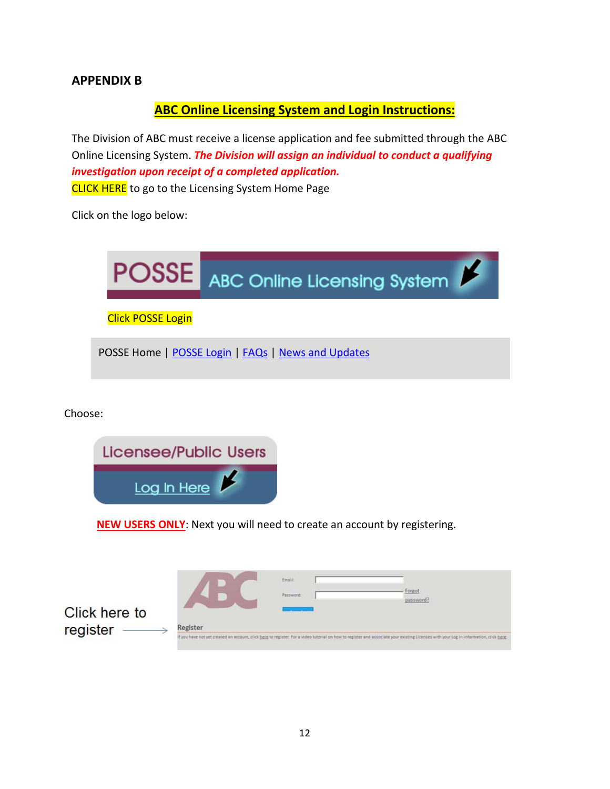### **APPENDIX B**

#### **ABC Online Licensing System and Login Instructions:**

The Division of ABC must receive a license application and fee submitted through the ABC Online Licensing System. *The Division will assign an individual to conduct a qualifying investigation upon receipt of a completed application.*  **[CLICK](http://www.nj.gov/lps/abc/posse/index.html) HERE** to go to the Licensing System Home Page

Click on the logo below:



Choose:



**NEW USERS ONLY**: Next you will need to create an account by registering.

|               |                                                                                                                                                                                        | Email:    |                     |
|---------------|----------------------------------------------------------------------------------------------------------------------------------------------------------------------------------------|-----------|---------------------|
|               |                                                                                                                                                                                        | Password: | Forgot<br>password? |
| Click here to |                                                                                                                                                                                        |           |                     |
| register      | Register                                                                                                                                                                               |           |                     |
|               | If you have not yet created an account, click here to register. For a video tutorial on how to register and associate your existing Licenses with your Log In information, click here. |           |                     |